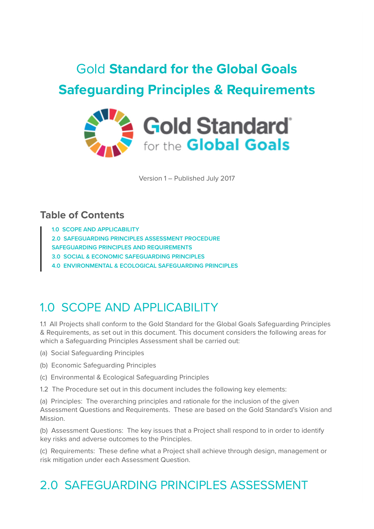# Gold **Standard for the Global Goals Safeguarding Principles & Requirements**



Version 1 – Published July 2017

### **Table of Contents**

**[1.0 SCOPE AND APPLICABILITY](https://globalgoals.goldstandard.org/101-4-gold-standard-for-the-global-goals-safeguarding-principles-requirements/#_Toc479777805)**

**[2.0 SAFEGUARDING PRINCIPLES ASSESSMENT PROCEDURE](https://globalgoals.goldstandard.org/101-4-gold-standard-for-the-global-goals-safeguarding-principles-requirements/#_Toc479777806)**

**[SAFEGUARDING PRINCIPLES AND REQUIREMENTS](https://globalgoals.goldstandard.org/101-4-gold-standard-for-the-global-goals-safeguarding-principles-requirements/#_Toc479777807)**

**[3.0 SOCIAL & ECONOMIC SAFEGUARDING PRINCIPLES](https://globalgoals.goldstandard.org/101-4-gold-standard-for-the-global-goals-safeguarding-principles-requirements/#_Toc479777808)**

**[4.0 ENVIRONMENTAL & ECOLOGICAL SAFEGUARDING PRINCIPLES](https://globalgoals.goldstandard.org/101-4-gold-standard-for-the-global-goals-safeguarding-principles-requirements/#_Toc479777809)**

### 1.0 SCOPE AND APPLICABILITY

1.1 All Projects shall conform to the Gold Standard for the Global Goals Safeguarding Principles & Requirements, as set out in this document. This document considers the following areas for which a Safeguarding Principles Assessment shall be carried out:

(a) Social Safeguarding Principles

(b) Economic Safeguarding Principles

(c) Environmental & Ecological Safeguarding Principles

1.2 The Procedure set out in this document includes the following key elements:

(a) Principles: The overarching principles and rationale for the inclusion of the given Assessment Questions and Requirements. These are based on the Gold Standard's Vision and Mission.

(b) Assessment Questions: The key issues that a Project shall respond to in order to identify key risks and adverse outcomes to the Principles.

(c) Requirements: These define what a Project shall achieve through design, management or risk mitigation under each Assessment Question.

## 2.0 SAFEGUARDING PRINCIPLES ASSESSMENT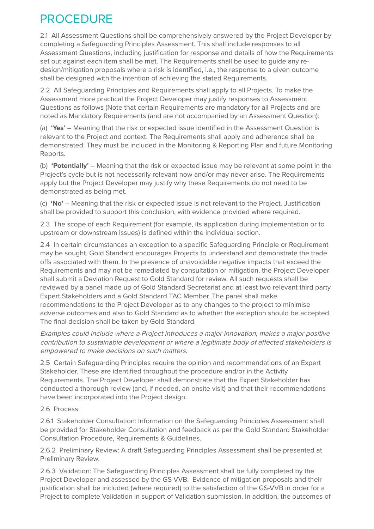## PROCEDURE

2.1 All Assessment Questions shall be comprehensively answered by the Project Developer by completing a Safeguarding Principles Assessment. This shall include responses to all Assessment Questions, including justification for response and details of how the Requirements set out against each item shall be met. The Requirements shall be used to guide any redesign/mitigation proposals where a risk is identified, i.e., the response to a given outcome shall be designed with the intention of achieving the stated Requirements.

2.2 All Safeguarding Principles and Requirements shall apply to all Projects. To make the Assessment more practical the Project Developer may justify responses to Assessment Questions as follows (Note that certain Requirements are mandatory for all Projects and are noted as Mandatory Requirements (and are not accompanied by an Assessment Question):

(a) **'Yes'** – Meaning that the risk or expected issue identified in the Assessment Question is relevant to the Project and context. The Requirements shall apply and adherence shall be demonstrated. They must be included in the Monitoring & Reporting Plan and future Monitoring Reports.

(b) **'Potentially'** – Meaning that the risk or expected issue may be relevant at some point in the Project's cycle but is not necessarily relevant now and/or may never arise. The Requirements apply but the Project Developer may justify why these Requirements do not need to be demonstrated as being met.

(c) **'No'** – Meaning that the risk or expected issue is not relevant to the Project. Justification shall be provided to support this conclusion, with evidence provided where required.

2.3 The scope of each Requirement (for example, its application during implementation or to upstream or downstream issues) is defined within the individual section.

2.4 In certain circumstances an exception to a specific Safeguarding Principle or Requirement may be sought. Gold Standard encourages Projects to understand and demonstrate the trade offs associated with them. In the presence of unavoidable negative impacts that exceed the Requirements and may not be remediated by consultation or mitigation, the Project Developer shall submit a Deviation Request to Gold Standard for review. All such requests shall be reviewed by a panel made up of Gold Standard Secretariat and at least two relevant third party Expert Stakeholders and a Gold Standard TAC Member. The panel shall make recommendations to the Project Developer as to any changes to the project to minimise adverse outcomes and also to Gold Standard as to whether the exception should be accepted. The final decision shall be taken by Gold Standard.

Examples could include where a Project introduces a major innovation, makes a major positive contribution to sustainable development or where a legitimate body of affected stakeholders is empowered to make decisions on such matters.

2.5 Certain Safeguarding Principles require the opinion and recommendations of an Expert Stakeholder. These are identified throughout the procedure and/or in the Activity Requirements. The Project Developer shall demonstrate that the Expert Stakeholder has conducted a thorough review (and, if needed, an onsite visit) and that their recommendations have been incorporated into the Project design.

#### 2.6 Process:

2.6.1 Stakeholder Consultation: Information on the Safeguarding Principles Assessment shall be provided for Stakeholder Consultation and feedback as per the Gold Standard Stakeholder Consultation Procedure, Requirements & Guidelines.

2.6.2 Preliminary Review: A draft Safeguarding Principles Assessment shall be presented at Preliminary Review.

2.6.3 Validation: The Safeguarding Principles Assessment shall be fully completed by the Project Developer and assessed by the GS-VVB. Evidence of mitigation proposals and their justification shall be included (where required) to the satisfaction of the GS-VVB in order for a Project to complete Validation in support of Validation submission. In addition, the outcomes of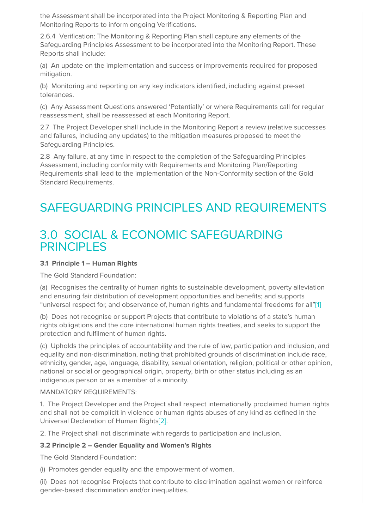the Assessment shall be incorporated into the Project Monitoring & Reporting Plan and Monitoring Reports to inform ongoing Verifications.

2.6.4 Verification: The Monitoring & Reporting Plan shall capture any elements of the Safeguarding Principles Assessment to be incorporated into the Monitoring Report. These Reports shall include:

(a) An update on the implementation and success or improvements required for proposed mitigation.

(b) Monitoring and reporting on any key indicators identified, including against pre-set tolerances.

(c) Any Assessment Questions answered 'Potentially' or where Requirements call for regular reassessment, shall be reassessed at each Monitoring Report.

2.7 The Project Developer shall include in the Monitoring Report a review (relative successes and failures, including any updates) to the mitigation measures proposed to meet the Safeguarding Principles.

2.8 Any failure, at any time in respect to the completion of the Safeguarding Principles Assessment, including conformity with Requirements and Monitoring Plan/Reporting Requirements shall lead to the implementation of the Non-Conformity section of the Gold Standard Requirements.

## SAFEGUARDING PRINCIPLES AND REQUIREMENTS

### 3.0 SOCIAL & ECONOMIC SAFEGUARDING **PRINCIPLES**

#### **3.1 Principle 1 – Human Rights**

The Gold Standard Foundation:

(a) Recognises the centrality of human rights to sustainable development, poverty alleviation and ensuring fair distribution of development opportunities and benefits; and supports "universal respect for, and observance of, human rights and fundamental freedoms for all["\[1\]](https://globalgoals.goldstandard.org/101-4-gold-standard-for-the-global-goals-safeguarding-principles-requirements/#_ftn1)

(b) Does not recognise or support Projects that contribute to violations of a state's human rights obligations and the core international human rights treaties, and seeks to support the protection and fulfilment of human rights.

(c) Upholds the principles of accountability and the rule of law, participation and inclusion, and equality and non-discrimination, noting that prohibited grounds of discrimination include race, ethnicity, gender, age, language, disability, sexual orientation, religion, political or other opinion, national or social or geographical origin, property, birth or other status including as an indigenous person or as a member of a minority.

#### MANDATORY REQUIREMENTS:

1. The Project Developer and the Project shall respect internationally proclaimed human rights and shall not be complicit in violence or human rights abuses of any kind as defined in the Universal Declaration of Human Right[s\[2\]](https://globalgoals.goldstandard.org/101-4-gold-standard-for-the-global-goals-safeguarding-principles-requirements/#_ftn2).

2. The Project shall not discriminate with regards to participation and inclusion.

#### **3.2 Principle 2 – Gender Equality and Women's Rights**

The Gold Standard Foundation:

(i) Promotes gender equality and the empowerment of women.

(ii) Does not recognise Projects that contribute to discrimination against women or reinforce gender-based discrimination and/or inequalities.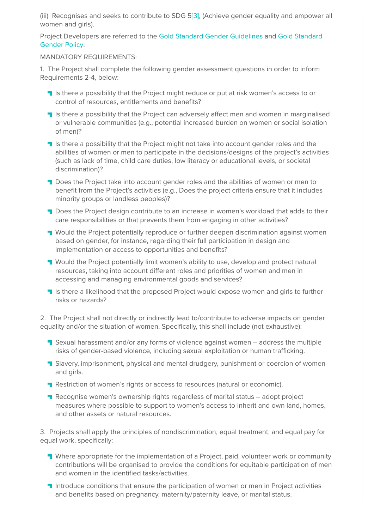(iii) Recognises and seeks to contribute to SDG [5\[3\],](https://globalgoals.goldstandard.org/101-4-gold-standard-for-the-global-goals-safeguarding-principles-requirements/#_ftn3) (Achieve gender equality and empower all women and girls).

[Project Developers are referred to the](https://globalgoals.goldstandard.org/100_g/101-1-g-gold-standard-gender-policy) [Gold Standard Gender Guidelines](https://globalgoals.goldstandard.org/100_g/101-1-g-gold-standard-gender-guidelines) [and Gold Standard](https://globalgoals.goldstandard.org/100_g/101-1-g-gold-standard-gender-policy) Gender Policy.

#### MANDATORY REQUIREMENTS:

1. The Project shall complete the following gender assessment questions in order to inform Requirements 2-4, below:

- **If** Is there a possibility that the Project might reduce or put at risk women's access to or control of resources, entitlements and benefits?
- **I** Is there a possibility that the Project can adversely affect men and women in marginalised or vulnerable communities (e.g., potential increased burden on women or social isolation of men)?
- If Is there a possibility that the Project might not take into account gender roles and the abilities of women or men to participate in the decisions/designs of the project's activities (such as lack of time, child care duties, low literacy or educational levels, or societal discrimination)?
- **Does the Project take into account gender roles and the abilities of women or men to** benefit from the Project's activities (e.g., Does the project criteria ensure that it includes minority groups or landless peoples)?
- **Does the Project design contribute to an increase in women's workload that adds to their** care responsibilities or that prevents them from engaging in other activities?
- **T** Would the Project potentially reproduce or further deepen discrimination against women based on gender, for instance, regarding their full participation in design and implementation or access to opportunities and benefits?
- **T** Would the Project potentially limit women's ability to use, develop and protect natural resources, taking into account different roles and priorities of women and men in accessing and managing environmental goods and services?
- If Is there a likelihood that the proposed Project would expose women and girls to further risks or hazards?

2. The Project shall not directly or indirectly lead to/contribute to adverse impacts on gender equality and/or the situation of women. Specifically, this shall include (not exhaustive):

- **T** Sexual harassment and/or any forms of violence against women address the multiple risks of gender-based violence, including sexual exploitation or human trafficking.
- **T** Slavery, imprisonment, physical and mental drudgery, punishment or coercion of women and girls.
- **Restriction of women's rights or access to resources (natural or economic).**
- **Recognise women's ownership rights regardless of marital status adopt project** measures where possible to support to women's access to inherit and own land, homes, and other assets or natural resources.

3. Projects shall apply the principles of nondiscrimination, equal treatment, and equal pay for equal work, specifically:

- **T** Where appropriate for the implementation of a Project, paid, volunteer work or community contributions will be organised to provide the conditions for equitable participation of men and women in the identified tasks/activities.
- **Introduce conditions that ensure the participation of women or men in Project activities** and benefits based on pregnancy, maternity/paternity leave, or marital status.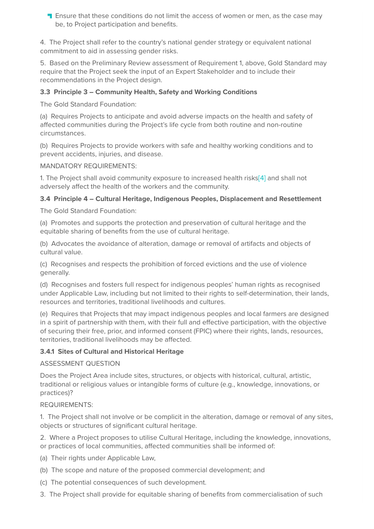**T** Ensure that these conditions do not limit the access of women or men, as the case may be, to Project participation and benefits.

4. The Project shall refer to the country's national gender strategy or equivalent national commitment to aid in assessing gender risks.

5. Based on the Preliminary Review assessment of Requirement 1, above, Gold Standard may require that the Project seek the input of an Expert Stakeholder and to include their recommendations in the Project design.

#### **3.3 Principle 3 – Community Health, Safety and Working Conditions**

The Gold Standard Foundation:

(a) Requires Projects to anticipate and avoid adverse impacts on the health and safety of affected communities during the Project's life cycle from both routine and non-routine circumstances.

(b) Requires Projects to provide workers with safe and healthy working conditions and to prevent accidents, injuries, and disease.

MANDATORY REQUIREMENTS:

1. The Project shall avoid community exposure to increased health risk[s\[4\]](https://globalgoals.goldstandard.org/101-4-gold-standard-for-the-global-goals-safeguarding-principles-requirements/#_ftn4) and shall not adversely affect the health of the workers and the community.

#### **3.4 Principle 4 – Cultural Heritage, Indigenous Peoples, Displacement and Resettlement**

The Gold Standard Foundation:

(a) Promotes and supports the protection and preservation of cultural heritage and the equitable sharing of benefits from the use of cultural heritage.

(b) Advocates the avoidance of alteration, damage or removal of artifacts and objects of cultural value.

(c) Recognises and respects the prohibition of forced evictions and the use of violence generally.

(d) Recognises and fosters full respect for indigenous peoples' human rights as recognised under Applicable Law, including but not limited to their rights to self-determination, their lands, resources and territories, traditional livelihoods and cultures.

(e) Requires that Projects that may impact indigenous peoples and local farmers are designed in a spirit of partnership with them, with their full and effective participation, with the objective of securing their free, prior, and informed consent (FPIC) where their rights, lands, resources, territories, traditional livelihoods may be affected.

#### **3.4.1 Sites of Cultural and Historical Heritage**

#### ASSESSMENT QUESTION

Does the Project Area include sites, structures, or objects with historical, cultural, artistic, traditional or religious values or intangible forms of culture (e.g., knowledge, innovations, or practices)?

#### REQUIREMENTS:

1. The Project shall not involve or be complicit in the alteration, damage or removal of any sites, objects or structures of significant cultural heritage.

2. Where a Project proposes to utilise Cultural Heritage, including the knowledge, innovations, or practices of local communities, affected communities shall be informed of:

- (a) Their rights under Applicable Law,
- (b) The scope and nature of the proposed commercial development; and
- (c) The potential consequences of such development.
- 3. The Project shall provide for equitable sharing of benefits from commercialisation of such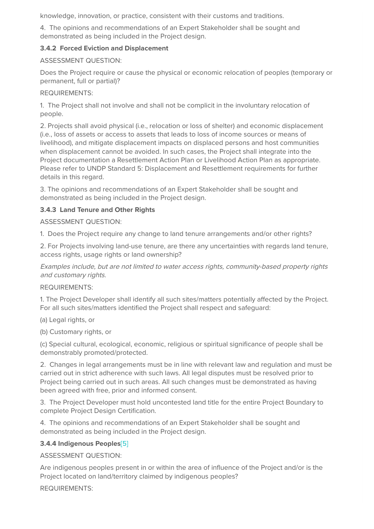knowledge, innovation, or practice, consistent with their customs and traditions.

4. The opinions and recommendations of an Expert Stakeholder shall be sought and demonstrated as being included in the Project design.

#### **3.4.2 Forced Eviction and Displacement**

#### ASSESSMENT QUESTION:

Does the Project require or cause the physical or economic relocation of peoples (temporary or permanent, full or partial)?

#### REQUIREMENTS:

1. The Project shall not involve and shall not be complicit in the involuntary relocation of people.

2. Projects shall avoid physical (i.e., relocation or loss of shelter) and economic displacement (i.e., loss of assets or access to assets that leads to loss of income sources or means of livelihood), and mitigate displacement impacts on displaced persons and host communities when displacement cannot be avoided. In such cases, the Project shall integrate into the Project documentation a Resettlement Action Plan or Livelihood Action Plan as appropriate. Please refer to UNDP Standard 5: Displacement and Resettlement requirements for further details in this regard.

3. The opinions and recommendations of an Expert Stakeholder shall be sought and demonstrated as being included in the Project design.

#### **3.4.3 Land Tenure and Other Rights**

ASSESSMENT QUESTION:

1. Does the Project require any change to land tenure arrangements and/or other rights?

2. For Projects involving land-use tenure, are there any uncertainties with regards land tenure, access rights, usage rights or land ownership?

Examples include, but are not limited to water access rights, community-based property rights and customary rights.

#### REQUIREMENTS:

1. The Project Developer shall identify all such sites/matters potentially affected by the Project. For all such sites/matters identified the Project shall respect and safeguard:

(a) Legal rights, or

(b) Customary rights, or

(c) Special cultural, ecological, economic, religious or spiritual significance of people shall be demonstrably promoted/protected.

2. Changes in legal arrangements must be in line with relevant law and regulation and must be carried out in strict adherence with such laws. All legal disputes must be resolved prior to Project being carried out in such areas. All such changes must be demonstrated as having been agreed with free, prior and informed consent.

3. The Project Developer must hold uncontested land title for the entire Project Boundary to complete Project Design Certification.

4. The opinions and recommendations of an Expert Stakeholder shall be sought and demonstrated as being included in the Project design.

#### **3.4.4 Indigenous Peoples**[\[5\]](https://globalgoals.goldstandard.org/101-4-gold-standard-for-the-global-goals-safeguarding-principles-requirements/#_ftn5)

ASSESSMENT QUESTION:

Are indigenous peoples present in or within the area of influence of the Project and/or is the Project located on land/territory claimed by indigenous peoples?

REQUIREMENTS: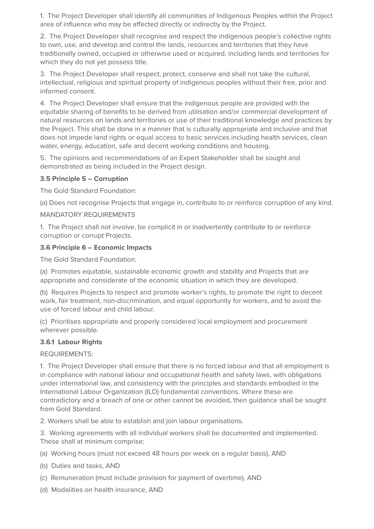1. The Project Developer shall identify all communities of Indigenous Peoples within the Project area of influence who may be affected directly or indirectly by the Project.

2. The Project Developer shall recognise and respect the indigenous people's collective rights to own, use, and develop and control the lands, resources and territories that they have traditionally owned, occupied or otherwise used or acquired, including lands and territories for which they do not yet possess title.

3. The Project Developer shall respect, protect, conserve and shall not take the cultural, intellectual, religious and spiritual property of indigenous peoples without their free, prior and informed consent.

4. The Project Developer shall ensure that the indigenous people are provided with the equitable sharing of benefits to be derived from utilisation and/or commercial development of natural resources on lands and territories or use of their traditional knowledge and practices by the Project. This shall be done in a manner that is culturally appropriate and inclusive and that does not impede land rights or equal access to basic services including health services, clean water, energy, education, safe and decent working conditions and housing.

5. The opinions and recommendations of an Expert Stakeholder shall be sought and demonstrated as being included in the Project design.

#### **3.5 Principle 5 – Corruption**

The Gold Standard Foundation:

(a) Does not recognise Projects that engage in, contribute to or reinforce corruption of any kind.

#### MANDATORY REQUIREMENTS

1. The Project shall not involve, be complicit in or inadvertently contribute to or reinforce corruption or corrupt Projects.

#### **3.6 Principle 6 – Economic Impacts**

The Gold Standard Foundation:

(a) Promotes equitable, sustainable economic growth and stability and Projects that are appropriate and considerate of the economic situation in which they are developed.

(b) Requires Projects to respect and promote worker's rights, to promote the right to decent work, fair treatment, non-discrimination, and equal opportunity for workers, and to avoid the use of forced labour and child labour.

(c) Prioritises appropriate and properly considered local employment and procurement wherever possible.

#### **3.6.1 Labour Rights**

REQUIREMENTS:

1. The Project Developer shall ensure that there is no forced labour and that all employment is in compliance with national labour and occupational health and safety laws, with obligations under international law, and consistency with the principles and standards embodied in the International Labour Organization (ILO) fundamental conventions. Where these are contradictory and a breach of one or other cannot be avoided, then guidance shall be sought from Gold Standard.

2. Workers shall be able to establish and join labour organisations.

3. Working agreements with all individual workers shall be documented and implemented. These shall at minimum comprise:

(a) Working hours (must not exceed 48 hours per week on a regular basis), AND

(b) Duties and tasks, AND

- (c) Remuneration (must include provision for payment of overtime), AND
- (d) Modalities on health insurance, AND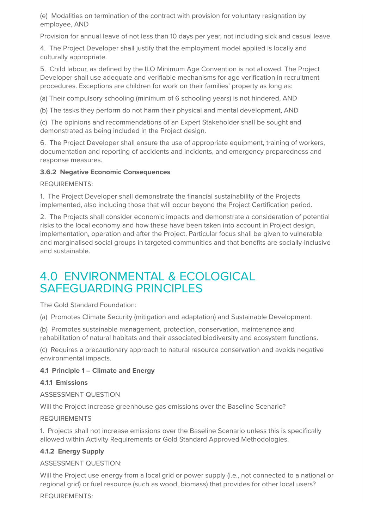(e) Modalities on termination of the contract with provision for voluntary resignation by employee, AND

Provision for annual leave of not less than 10 days per year, not including sick and casual leave.

4. The Project Developer shall justify that the employment model applied is locally and culturally appropriate.

5. Child labour, as defined by the ILO Minimum Age Convention is not allowed. The Project Developer shall use adequate and verifiable mechanisms for age verification in recruitment procedures. Exceptions are children for work on their families' property as long as:

(a) Their compulsory schooling (minimum of 6 schooling years) is not hindered, AND

(b) The tasks they perform do not harm their physical and mental development, AND

(c) The opinions and recommendations of an Expert Stakeholder shall be sought and demonstrated as being included in the Project design.

6. The Project Developer shall ensure the use of appropriate equipment, training of workers, documentation and reporting of accidents and incidents, and emergency preparedness and response measures.

#### **3.6.2 Negative Economic Consequences**

REQUIREMENTS:

1. The Project Developer shall demonstrate the financial sustainability of the Projects implemented, also including those that will occur beyond the Project Certification period.

2. The Projects shall consider economic impacts and demonstrate a consideration of potential risks to the local economy and how these have been taken into account in Project design, implementation, operation and after the Project. Particular focus shall be given to vulnerable and marginalised social groups in targeted communities and that benefits are socially-inclusive and sustainable.

### 4.0 ENVIRONMENTAL & ECOLOGICAL SAFEGUARDING PRINCIPLES

The Gold Standard Foundation:

(a) Promotes Climate Security (mitigation and adaptation) and Sustainable Development.

(b) Promotes sustainable management, protection, conservation, maintenance and rehabilitation of natural habitats and their associated biodiversity and ecosystem functions.

(c) Requires a precautionary approach to natural resource conservation and avoids negative environmental impacts.

#### **4.1 Principle 1 – Climate and Energy**

#### **4.1.1 Emissions**

ASSESSMENT QUESTION

Will the Project increase greenhouse gas emissions over the Baseline Scenario?

#### REQUIREMENTS

1. Projects shall not increase emissions over the Baseline Scenario unless this is specifically allowed within Activity Requirements or Gold Standard Approved Methodologies.

#### **4.1.2 Energy Supply**

ASSESSMENT QUESTION:

Will the Project use energy from a local grid or power supply (i.e., not connected to a national or regional grid) or fuel resource (such as wood, biomass) that provides for other local users?

REQUIREMENTS: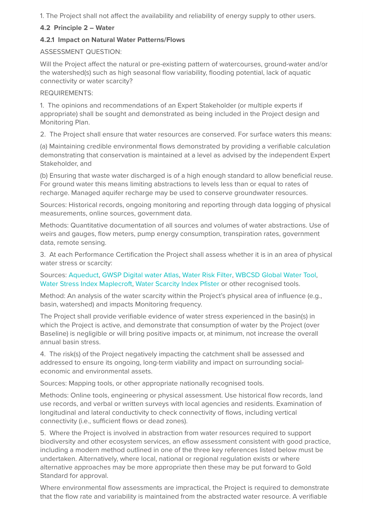1. The Project shall not affect the availability and reliability of energy supply to other users.

#### **4.2 Principle 2 – Water**

#### **4.2.1 Impact on Natural Water Patterns/Flows**

#### ASSESSMENT QUESTION:

Will the Project affect the natural or pre-existing pattern of watercourses, ground-water and/or the watershed(s) such as high seasonal flow variability, flooding potential, lack of aquatic connectivity or water scarcity?

#### REQUIREMENTS:

1. The opinions and recommendations of an Expert Stakeholder (or multiple experts if appropriate) shall be sought and demonstrated as being included in the Project design and Monitoring Plan.

2. The Project shall ensure that water resources are conserved. For surface waters this means:

(a) Maintaining credible environmental flows demonstrated by providing a verifiable calculation demonstrating that conservation is maintained at a level as advised by the independent Expert Stakeholder, and

(b) Ensuring that waste water discharged is of a high enough standard to allow beneficial reuse. For ground water this means limiting abstractions to levels less than or equal to rates of recharge. Managed aquifer recharge may be used to conserve groundwater resources.

Sources: Historical records, ongoing monitoring and reporting through data logging of physical measurements, online sources, government data.

Methods: Quantitative documentation of all sources and volumes of water abstractions. Use of weirs and gauges, flow meters, pump energy consumption, transpiration rates, government data, remote sensing.

3. At each Performance Certification the Project shall assess whether it is in an area of physical water stress or scarcity:

#### Sources: [Aqueduct](http://www.wri.org/our-work/project/aqueduct), [GWSP Digital water Atlas,](http://atlas.gwsp.org/) [Water Risk Filter](http://waterriskfilter.panda.org/), [WBCSD Global Water Tool,](http://old.wbcsd.org/work-program/sector-projects/water/global-water-tool.aspx) [Water Stress Index Maplecroft](https://maplecroft.com/about/news/water_stress_index.html), [Water Scarcity Index Pfister](https://www.google.co.uk/url?sa=t&rct=j&q=&esrc=s&source=web&cd=3&ved=0ahUKEwj9i6fYwfTUAhWLDsAKHWyPD9EQFgg3MAI&url=https%3A%2F%2Fwww.ethz.ch%2Fcontent%2Fdam%2Fethz%2Fspecial-interest%2Fbaug%2Fifu%2Feco-systems-design-dam%2Fdocuments%2Fdownloads%2Fei99%2Fifu-esd-EI99-Impact_factors_Water_LCA_pfister_et_al.kmz&usg=AFQjCNGwVzi_unRSptlSEyKDkXaAmbV3bA) or other recognised tools.

Method: An analysis of the water scarcity within the Project's physical area of influence (e.g., basin, watershed) and impacts Monitoring frequency.

The Project shall provide verifiable evidence of water stress experienced in the basin(s) in which the Project is active, and demonstrate that consumption of water by the Project (over Baseline) is negligible or will bring positive impacts or, at minimum, not increase the overall annual basin stress.

4. The risk(s) of the Project negatively impacting the catchment shall be assessed and addressed to ensure its ongoing, long-term viability and impact on surrounding socialeconomic and environmental assets.

Sources: Mapping tools, or other appropriate nationally recognised tools.

Methods: Online tools, engineering or physical assessment. Use historical flow records, land use records, and verbal or written surveys with local agencies and residents. Examination of longitudinal and lateral conductivity to check connectivity of flows, including vertical connectivity (i.e., sufficient flows or dead zones).

5. Where the Project is involved in abstraction from water resources required to support biodiversity and other ecosystem services, an eflow assessment consistent with good practice, including a modern method outlined in one of the three key references listed below must be undertaken. Alternatively, where local, national or regional regulation exists or where alternative approaches may be more appropriate then these may be put forward to Gold Standard for approval.

Where environmental flow assessments are impractical, the Project is required to demonstrate that the flow rate and variability is maintained from the abstracted water resource. A verifiable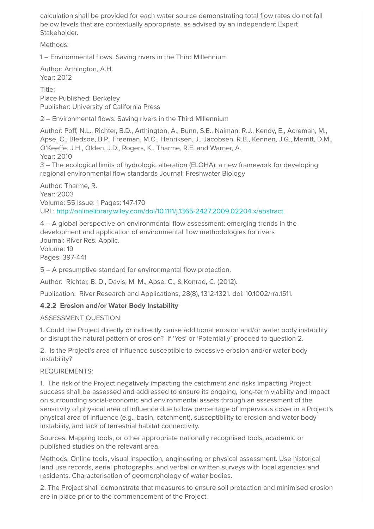calculation shall be provided for each water source demonstrating total flow rates do not fall below levels that are contextually appropriate, as advised by an independent Expert Stakeholder.

Methods:

1 – Environmental flows. Saving rivers in the Third Millennium

Author: Arthington, A.H. Year: 2012

Title: Place Published: Berkeley Publisher: University of California Press

2 – Environmental flows. Saving rivers in the Third Millennium

Author: Poff, N.L., Richter, B.D., Arthington, A., Bunn, S.E., Naiman, R.J., Kendy, E., Acreman, M., Apse, C., Bledsoe, B.P., Freeman, M.C., Henriksen, J., Jacobsen, R.B., Kennen, J.G., Merritt, D.M., O'Keeffe, J.H., Olden, J.D., Rogers, K., Tharme, R.E. and Warner, A. Year: 2010 3 – The ecological limits of hydrologic alteration (ELOHA): a new framework for developing

regional environmental flow standards Journal: Freshwater Biology

Author: Tharme, R. Year: 2003 Volume: 55 Issue: 1 Pages: 147-170 URL:<http://onlinelibrary.wiley.com/doi/10.1111/j.1365-2427.2009.02204.x/abstract>

4 – A global perspective on environmental flow assessment: emerging trends in the development and application of environmental flow methodologies for rivers Journal: River Res. Applic.

Volume: 19 Pages: 397-441

5 – A presumptive standard for environmental flow protection.

Author: Richter, B. D., Davis, M. M., Apse, C., & Konrad, C. (2012).

Publication: River Research and Applications, 28(8), 1312-1321. doi: 10.1002/rra.1511.

#### **4.2.2 Erosion and/or Water Body Instability**

ASSESSMENT QUESTION:

1. Could the Project directly or indirectly cause additional erosion and/or water body instability or disrupt the natural pattern of erosion? If 'Yes' or 'Potentially' proceed to question 2.

2. Is the Project's area of influence susceptible to excessive erosion and/or water body instability?

REQUIREMENTS:

1. The risk of the Project negatively impacting the catchment and risks impacting Project success shall be assessed and addressed to ensure its ongoing, long-term viability and impact on surrounding social-economic and environmental assets through an assessment of the sensitivity of physical area of influence due to low percentage of impervious cover in a Project's physical area of influence (e.g., basin, catchment), susceptibility to erosion and water body instability, and lack of terrestrial habitat connectivity.

Sources: Mapping tools, or other appropriate nationally recognised tools, academic or published studies on the relevant area.

Methods: Online tools, visual inspection, engineering or physical assessment. Use historical land use records, aerial photographs, and verbal or written surveys with local agencies and residents. Characterisation of geomorphology of water bodies.

2. The Project shall demonstrate that measures to ensure soil protection and minimised erosion are in place prior to the commencement of the Project.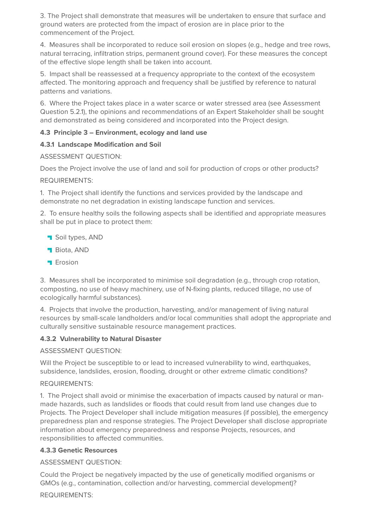3. The Project shall demonstrate that measures will be undertaken to ensure that surface and ground waters are protected from the impact of erosion are in place prior to the commencement of the Project.

4. Measures shall be incorporated to reduce soil erosion on slopes (e.g., hedge and tree rows, natural terracing, infiltration strips, permanent ground cover). For these measures the concept of the effective slope length shall be taken into account.

5. Impact shall be reassessed at a frequency appropriate to the context of the ecosystem affected. The monitoring approach and frequency shall be justified by reference to natural patterns and variations.

6. Where the Project takes place in a water scarce or water stressed area (see Assessment Question 5.2.1), the opinions and recommendations of an Expert Stakeholder shall be sought and demonstrated as being considered and incorporated into the Project design.

#### **4.3 Principle 3 – Environment, ecology and land use**

#### **4.3.1 Landscape Modification and Soil**

ASSESSMENT QUESTION:

Does the Project involve the use of land and soil for production of crops or other products? REQUIREMENTS:

1. The Project shall identify the functions and services provided by the landscape and demonstrate no net degradation in existing landscape function and services.

2. To ensure healthy soils the following aspects shall be identified and appropriate measures shall be put in place to protect them:

- **Soil types, AND**
- **Biota, AND**
- **T** Erosion

3. Measures shall be incorporated to minimise soil degradation (e.g., through crop rotation, composting, no use of heavy machinery, use of N-fixing plants, reduced tillage, no use of ecologically harmful substances).

4. Projects that involve the production, harvesting, and/or management of living natural resources by small-scale landholders and/or local communities shall adopt the appropriate and culturally sensitive sustainable resource management practices.

#### **4.3.2 Vulnerability to Natural Disaster**

ASSESSMENT QUESTION:

Will the Project be susceptible to or lead to increased vulnerability to wind, earthquakes, subsidence, landslides, erosion, flooding, drought or other extreme climatic conditions?

#### REQUIREMENTS:

1. The Project shall avoid or minimise the exacerbation of impacts caused by natural or manmade hazards, such as landslides or floods that could result from land use changes due to Projects. The Project Developer shall include mitigation measures (if possible), the emergency preparedness plan and response strategies. The Project Developer shall disclose appropriate information about emergency preparedness and response Projects, resources, and responsibilities to affected communities.

#### **4.3.3 Genetic Resources**

ASSESSMENT QUESTION:

Could the Project be negatively impacted by the use of genetically modified organisms or GMOs (e.g., contamination, collection and/or harvesting, commercial development)?

REQUIREMENTS: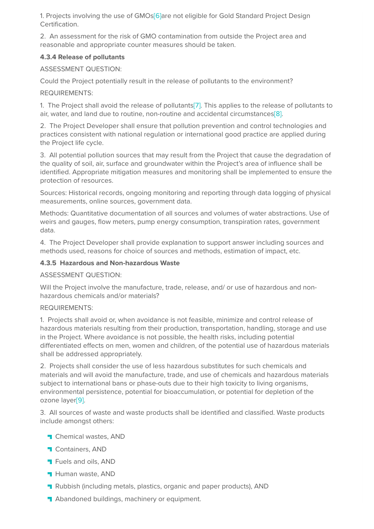1. Projects involving the use of GMO[s\[6\]a](https://globalgoals.goldstandard.org/101-4-gold-standard-for-the-global-goals-safeguarding-principles-requirements/#_ftn6)re not eligible for Gold Standard Project Design Certification.

2. An assessment for the risk of GMO contamination from outside the Project area and reasonable and appropriate counter measures should be taken.

#### **4.3.4 Release of pollutants**

ASSESSMENT QUESTION:

Could the Project potentially result in the release of pollutants to the environment?

REQUIREMENTS:

1. The Project shall avoid the release of pollutant[s\[7\].](https://globalgoals.goldstandard.org/101-4-gold-standard-for-the-global-goals-safeguarding-principles-requirements/#_ftn7) This applies to the release of pollutants to air, water, and land due to routine, non-routine and accidental circumstance[s\[8\]](https://globalgoals.goldstandard.org/101-4-gold-standard-for-the-global-goals-safeguarding-principles-requirements/#_ftn8).

2. The Project Developer shall ensure that pollution prevention and control technologies and practices consistent with national regulation or international good practice are applied during the Project life cycle.

3. All potential pollution sources that may result from the Project that cause the degradation of the quality of soil, air, surface and groundwater within the Project's area of influence shall be identified. Appropriate mitigation measures and monitoring shall be implemented to ensure the protection of resources.

Sources: Historical records, ongoing monitoring and reporting through data logging of physical measurements, online sources, government data.

Methods: Quantitative documentation of all sources and volumes of water abstractions. Use of weirs and gauges, flow meters, pump energy consumption, transpiration rates, government data.

4. The Project Developer shall provide explanation to support answer including sources and methods used, reasons for choice of sources and methods, estimation of impact, etc.

#### **4.3.5 Hazardous and Non-hazardous Waste**

ASSESSMENT QUESTION:

Will the Project involve the manufacture, trade, release, and/ or use of hazardous and nonhazardous chemicals and/or materials?

#### REQUIREMENTS:

1. Projects shall avoid or, when avoidance is not feasible, minimize and control release of hazardous materials resulting from their production, transportation, handling, storage and use in the Project. Where avoidance is not possible, the health risks, including potential differentiated effects on men, women and children, of the potential use of hazardous materials shall be addressed appropriately.

2. Projects shall consider the use of less hazardous substitutes for such chemicals and materials and will avoid the manufacture, trade, and use of chemicals and hazardous materials subject to international bans or phase-outs due to their high toxicity to living organisms, environmental persistence, potential for bioaccumulation, or potential for depletion of the ozone laye[r\[9\]](https://globalgoals.goldstandard.org/101-4-gold-standard-for-the-global-goals-safeguarding-principles-requirements/#_ftn9).

3. All sources of waste and waste products shall be identified and classified. Waste products include amongst others:

- **Chemical wastes, AND**
- **T** Containers, AND
- **T** Fuels and oils, AND
- **Human waste, AND**
- **R**ubbish (including metals, plastics, organic and paper products), AND
- Abandoned buildings, machinery or equipment.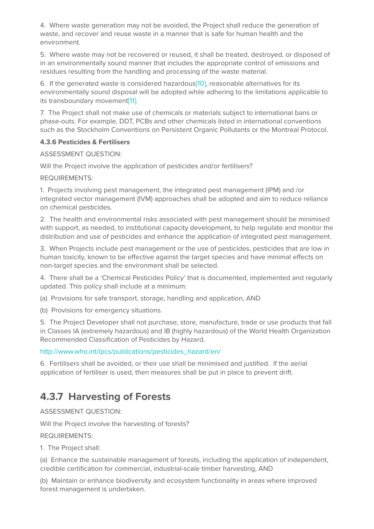4. Where waste generation may not be avoided, the Project shall reduce the generation of waste, and recover and reuse waste in a manner that is safe for human health and the environment.

5. Where waste may not be recovered or reused, it shall be treated, destroyed, or disposed of in an environmentally sound manner that includes the appropriate control of emissions and residues resulting from the handling and processing of the waste material.

6. If the generated waste is considered hazardou[s\[10\],](https://globalgoals.goldstandard.org/101-4-gold-standard-for-the-global-goals-safeguarding-principles-requirements/#_ftn10) reasonable alternatives for its environmentally sound disposal will be adopted while adhering to the limitations applicable to its transboundary movement<sup>[11]</sup>.

7. The Project shall not make use of chemicals or materials subject to international bans or phase-outs. For example, DDT, PCBs and other chemicals listed in international conventions such as the Stockholm Conventions on Persistent Organic Pollutants or the Montreal Protocol.

#### **4.3.6 Pesticides & Fertilisers**

ASSESSMENT QUESTION:

Will the Project involve the application of pesticides and/or fertilisers?

REQUIREMENTS:

1. Projects involving pest management, the integrated pest management (IPM) and /or integrated vector management (IVM) approaches shall be adopted and aim to reduce reliance on chemical pesticides.

2. The health and environmental risks associated with pest management should be minimised with support, as needed, to institutional capacity development, to help regulate and monitor the distribution and use of pesticides and enhance the application of integrated pest management.

3. When Projects include pest management or the use of pesticides, pesticides that are low in human toxicity, known to be effective against the target species and have minimal effects on non-target species and the environment shall be selected.

4. There shall be a 'Chemical Pesticides Policy' that is documented, implemented and regularly updated. This policy shall include at a minimum:

(a) Provisions for safe transport, storage, handling and application, AND

(b) Provisions for emergency situations.

5. The Project Developer shall not purchase, store, manufacture, trade or use products that fall in Classes IA (extremely hazardous) and IB (highly hazardous) of the World Health Organization Recommended Classification of Pesticides by Hazard.

#### [http://www.who.int/ipcs/publications/pesticides\\_hazard/en/](http://www.who.int/ipcs/publications/pesticides_hazard/en/)

6. Fertilisers shall be avoided, or their use shall be minimised and justified. If the aerial application of fertiliser is used, then measures shall be put in place to prevent drift.

### **4.3.7 Harvesting of Forests**

ASSESSMENT QUESTION:

Will the Project involve the harvesting of forests?

REQUIREMENTS:

1. The Project shall:

(a) Enhance the sustainable management of forests, including the application of independent, credible certification for commercial, industrial-scale timber harvesting, AND

(b) Maintain or enhance biodiversity and ecosystem functionality in areas where improved forest management is undertaken.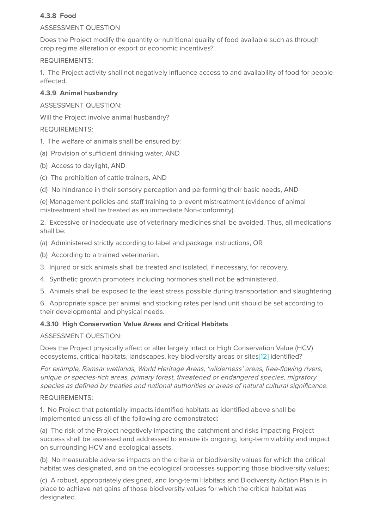#### **4.3.8 Food**

#### ASSESSMENT QUESTION

Does the Project modify the quantity or nutritional quality of food available such as through crop regime alteration or export or economic incentives?

#### REQUIREMENTS:

1. The Project activity shall not negatively influence access to and availability of food for people affected.

#### **4.3.9 Animal husbandry**

#### ASSESSMENT QUESTION:

Will the Project involve animal husbandry?

#### REQUIREMENTS:

- 1. The welfare of animals shall be ensured by:
- (a) Provision of sufficient drinking water, AND
- (b) Access to daylight, AND
- (c) The prohibition of cattle trainers, AND
- (d) No hindrance in their sensory perception and performing their basic needs, AND

(e) Management policies and staff training to prevent mistreatment (evidence of animal mistreatment shall be treated as an immediate Non-conformity).

2. Excessive or inadequate use of veterinary medicines shall be avoided. Thus, all medications shall be:

- (a) Administered strictly according to label and package instructions, OR
- (b) According to a trained veterinarian.
- 3. Injured or sick animals shall be treated and isolated, if necessary, for recovery.
- 4. Synthetic growth promoters including hormones shall not be administered.
- 5. Animals shall be exposed to the least stress possible during transportation and slaughtering.

6. Appropriate space per animal and stocking rates per land unit should be set according to their developmental and physical needs.

#### **4.3.10 High Conservation Value Areas and Critical Habitats**

#### ASSESSMENT QUESTION:

Does the Project physically affect or alter largely intact or High Conservation Value (HCV) ecosystems, critical habitats, landscapes, key biodiversity areas or site[s\[12\]](https://globalgoals.goldstandard.org/101-4-gold-standard-for-the-global-goals-safeguarding-principles-requirements/#_ftn12) identified?

For example, Ramsar wetlands, World Heritage Areas, 'wilderness' areas, free-flowing rivers, unique or species-rich areas, primary forest, threatened or endangered species, migratory species as defined by treaties and national authorities or areas of natural cultural significance.

#### REQUIREMENTS:

1. No Project that potentially impacts identified habitats as identified above shall be implemented unless all of the following are demonstrated:

(a) The risk of the Project negatively impacting the catchment and risks impacting Project success shall be assessed and addressed to ensure its ongoing, long-term viability and impact on surrounding HCV and ecological assets.

(b) No measurable adverse impacts on the criteria or biodiversity values for which the critical habitat was designated, and on the ecological processes supporting those biodiversity values;

(c) A robust, appropriately designed, and long-term Habitats and Biodiversity Action Plan is in place to achieve net gains of those biodiversity values for which the critical habitat was designated.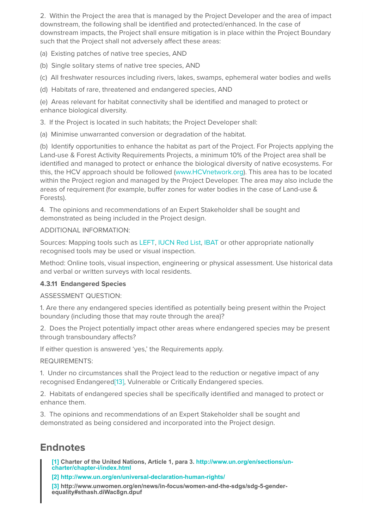2. Within the Project the area that is managed by the Project Developer and the area of impact downstream, the following shall be identified and protected/enhanced. In the case of downstream impacts, the Project shall ensure mitigation is in place within the Project Boundary such that the Project shall not adversely affect these areas:

(a) Existing patches of native tree species, AND

(b) Single solitary stems of native tree species, AND

(c) All freshwater resources including rivers, lakes, swamps, ephemeral water bodies and wells

(d) Habitats of rare, threatened and endangered species, AND

(e) Areas relevant for habitat connectivity shall be identified and managed to protect or enhance biological diversity.

3. If the Project is located in such habitats; the Project Developer shall:

(a) Minimise unwarranted conversion or degradation of the habitat.

(b) Identify opportunities to enhance the habitat as part of the Project. For Projects applying the Land-use & Forest Activity Requirements Projects, a minimum 10% of the Project area shall be identified and managed to protect or enhance the biological diversity of native ecosystems. For this, the HCV approach should be followed [\(www.HCVnetwork.org\)](http://www.hcvnetwork.org/). This area has to be located within the Project region and managed by the Project Developer. The area may also include the areas of requirement (for example, buffer zones for water bodies in the case of Land-use & Forests).

4. The opinions and recommendations of an Expert Stakeholder shall be sought and demonstrated as being included in the Project design.

#### ADDITIONAL INFORMATION:

Sources: Mapping tools such as [LEFT,](https://www.left.ox.ac.uk/) [IUCN Red List,](http://www.iucnredlist.org/) [IBAT](https://www.ibat-alliance.org/ibat-conservation/login) or other appropriate nationally recognised tools may be used or visual inspection.

Method: Online tools, visual inspection, engineering or physical assessment. Use historical data and verbal or written surveys with local residents.

#### **4.3.11 Endangered Species**

ASSESSMENT QUESTION:

1. Are there any endangered species identified as potentially being present within the Project boundary (including those that may route through the area)?

2. Does the Project potentially impact other areas where endangered species may be present through transboundary affects?

If either question is answered 'yes,' the Requirements apply.

#### REQUIREMENTS:

1. Under no circumstances shall the Project lead to the reduction or negative impact of any recognised Endangere[d\[13\],](https://globalgoals.goldstandard.org/101-4-gold-standard-for-the-global-goals-safeguarding-principles-requirements/#_ftn13) Vulnerable or Critically Endangered species.

2. Habitats of endangered species shall be specifically identified and managed to protect or enhance them.

3. The opinions and recommendations of an Expert Stakeholder shall be sought and demonstrated as being considered and incorporated into the Project design.

### **Endnotes**

**[\[1](https://globalgoals.goldstandard.org/101-4-gold-standard-for-the-global-goals-safeguarding-principles-requirements/#_ftnref1)[\] Charter of the United Nations, Article 1, para 3. http://www.un.org/en/sections/un](http://www.un.org/en/sections/un-charter/chapter-i/index.html)charter/chapter-i/index.html**

**[\[2\]](https://globalgoals.goldstandard.org/101-4-gold-standard-for-the-global-goals-safeguarding-principles-requirements/#_ftnref2) <http://www.un.org/en/universal-declaration-human-rights/>** 

**[\[3\]](https://globalgoals.goldstandard.org/101-4-gold-standard-for-the-global-goals-safeguarding-principles-requirements/#_ftnref3) http://www.unwomen.org/en/news/in-focus/women-and-the-sdgs/sdg-5-genderequality#sthash.diWac8gn.dpuf**